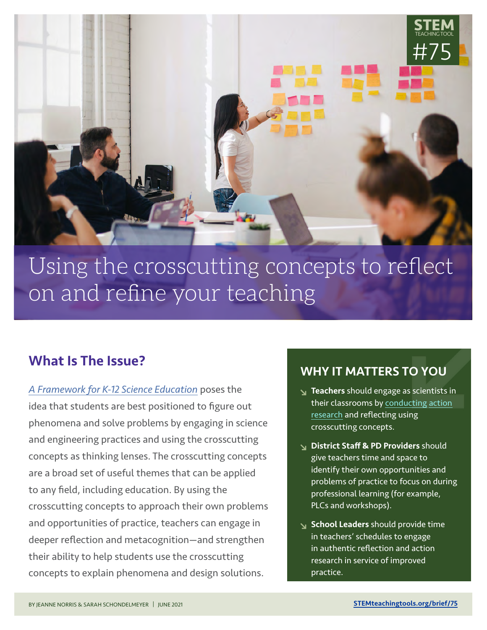

# Using the crosscutting concepts to refect on and refne your teaching

# What Is The Issue?

*[A Framework for K-12 Science Education](http://stemteachingtools.org/link/7501)* poses the idea that students are best positioned to figure out phenomena and solve problems by engaging in science and engineering practices and using the crosscutting concepts as thinking lenses. The crosscutting concepts are a broad set of useful themes that can be applied to any field, including education. By using the crosscutting concepts to approach their own problems and opportunities of practice, teachers can engage in deeper reflection and metacognition—and strengthen their ability to help students use the crosscutting concepts to explain phenomena and design solutions.

## WHY IT MATTERS TO YOU

- **Teachers** should engage as scientists in [their classrooms by conducting](http://stemteachingtools.org/link/7502) action research and reflecting using crosscutting concepts.
- District Staff **&** PD Providers should give teachers time and space to identify their own opportunities and problems of practice to focus on during professional learning (for example, PLCs and workshops).
- School Leaders should provide time in teachers' schedules to engage in authentic reflection and action research in service of improved practice.